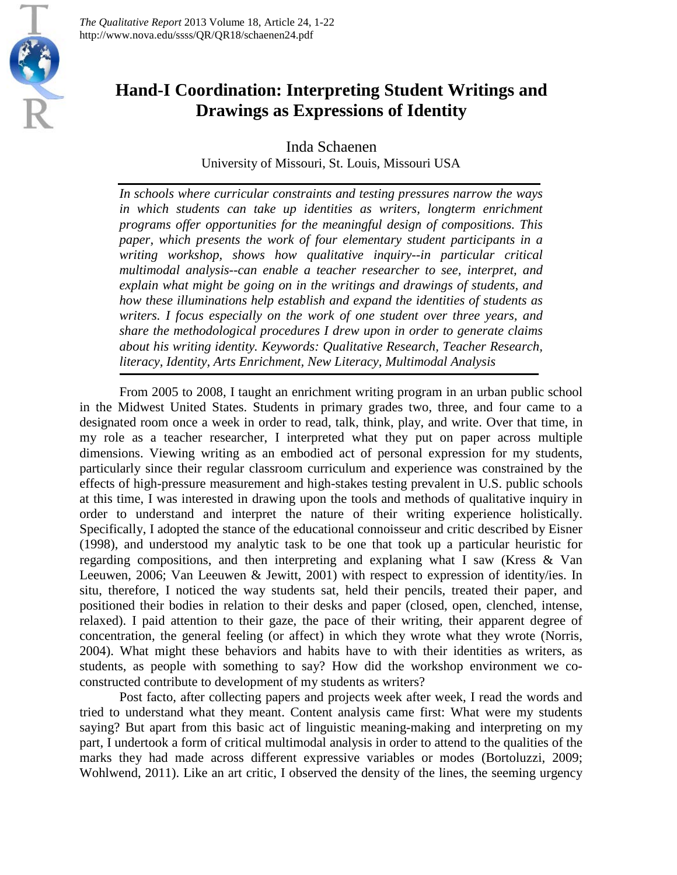*The Qualitative Report* 2013 Volume 18, Article 24, 1-22 http://www.nova.edu/ssss/QR/QR18/schaenen24.pdf

EN D



Inda Schaenen University of Missouri, St. Louis, Missouri USA

*In schools where curricular constraints and testing pressures narrow the ways in which students can take up identities as writers, longterm enrichment programs offer opportunities for the meaningful design of compositions. This paper, which presents the work of four elementary student participants in a writing workshop, shows how qualitative inquiry--in particular critical multimodal analysis--can enable a teacher researcher to see, interpret, and explain what might be going on in the writings and drawings of students, and how these illuminations help establish and expand the identities of students as writers. I focus especially on the work of one student over three years, and share the methodological procedures I drew upon in order to generate claims about his writing identity. Keywords: Qualitative Research, Teacher Research, literacy, Identity, Arts Enrichment, New Literacy, Multimodal Analysis*

From 2005 to 2008, I taught an enrichment writing program in an urban public school in the Midwest United States. Students in primary grades two, three, and four came to a designated room once a week in order to read, talk, think, play, and write. Over that time, in my role as a teacher researcher, I interpreted what they put on paper across multiple dimensions. Viewing writing as an embodied act of personal expression for my students, particularly since their regular classroom curriculum and experience was constrained by the effects of high-pressure measurement and high-stakes testing prevalent in U.S. public schools at this time, I was interested in drawing upon the tools and methods of qualitative inquiry in order to understand and interpret the nature of their writing experience holistically. Specifically, I adopted the stance of the educational connoisseur and critic described by Eisner (1998), and understood my analytic task to be one that took up a particular heuristic for regarding compositions, and then interpreting and explaning what I saw (Kress & Van Leeuwen, 2006; Van Leeuwen & Jewitt, 2001) with respect to expression of identity/ies. In situ, therefore, I noticed the way students sat, held their pencils, treated their paper, and positioned their bodies in relation to their desks and paper (closed, open, clenched, intense, relaxed). I paid attention to their gaze, the pace of their writing, their apparent degree of concentration, the general feeling (or affect) in which they wrote what they wrote (Norris, 2004). What might these behaviors and habits have to with their identities as writers, as students, as people with something to say? How did the workshop environment we coconstructed contribute to development of my students as writers?

Post facto, after collecting papers and projects week after week, I read the words and tried to understand what they meant. Content analysis came first: What were my students saying? But apart from this basic act of linguistic meaning-making and interpreting on my part, I undertook a form of critical multimodal analysis in order to attend to the qualities of the marks they had made across different expressive variables or modes (Bortoluzzi, 2009; Wohlwend, 2011). Like an art critic, I observed the density of the lines, the seeming urgency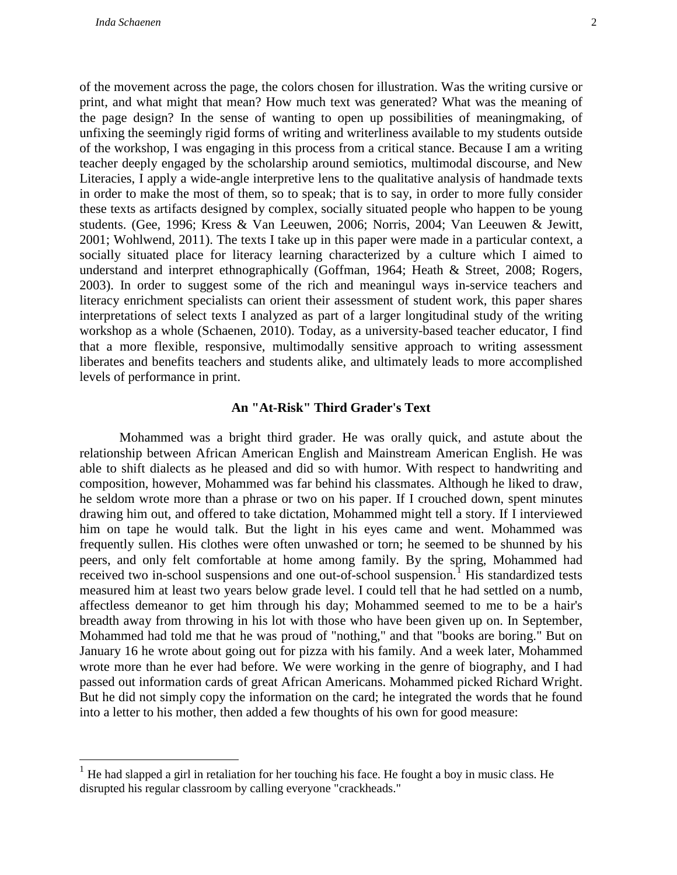of the movement across the page, the colors chosen for illustration. Was the writing cursive or print, and what might that mean? How much text was generated? What was the meaning of the page design? In the sense of wanting to open up possibilities of meaningmaking, of unfixing the seemingly rigid forms of writing and writerliness available to my students outside of the workshop, I was engaging in this process from a critical stance. Because I am a writing teacher deeply engaged by the scholarship around semiotics, multimodal discourse, and New Literacies, I apply a wide-angle interpretive lens to the qualitative analysis of handmade texts in order to make the most of them, so to speak; that is to say, in order to more fully consider these texts as artifacts designed by complex, socially situated people who happen to be young students. (Gee, 1996; Kress & Van Leeuwen, 2006; Norris, 2004; Van Leeuwen & Jewitt, 2001; Wohlwend, 2011). The texts I take up in this paper were made in a particular context, a socially situated place for literacy learning characterized by a culture which I aimed to understand and interpret ethnographically (Goffman, 1964; Heath & Street, 2008; Rogers, 2003). In order to suggest some of the rich and meaningul ways in-service teachers and literacy enrichment specialists can orient their assessment of student work, this paper shares interpretations of select texts I analyzed as part of a larger longitudinal study of the writing workshop as a whole (Schaenen, 2010). Today, as a university-based teacher educator, I find that a more flexible, responsive, multimodally sensitive approach to writing assessment liberates and benefits teachers and students alike, and ultimately leads to more accomplished levels of performance in print.

### **An "At-Risk" Third Grader's Text**

Mohammed was a bright third grader. He was orally quick, and astute about the relationship between African American English and Mainstream American English. He was able to shift dialects as he pleased and did so with humor. With respect to handwriting and composition, however, Mohammed was far behind his classmates. Although he liked to draw, he seldom wrote more than a phrase or two on his paper. If I crouched down, spent minutes drawing him out, and offered to take dictation, Mohammed might tell a story. If I interviewed him on tape he would talk. But the light in his eyes came and went. Mohammed was frequently sullen. His clothes were often unwashed or torn; he seemed to be shunned by his peers, and only felt comfortable at home among family. By the spring, Mohammed had received two in-school suspensions and one out-of-school suspension.<sup>[1](#page-1-0)</sup> His standardized tests measured him at least two years below grade level. I could tell that he had settled on a numb, affectless demeanor to get him through his day; Mohammed seemed to me to be a hair's breadth away from throwing in his lot with those who have been given up on. In September, Mohammed had told me that he was proud of "nothing," and that "books are boring." But on January 16 he wrote about going out for pizza with his family. And a week later, Mohammed wrote more than he ever had before. We were working in the genre of biography, and I had passed out information cards of great African Americans. Mohammed picked Richard Wright. But he did not simply copy the information on the card; he integrated the words that he found into a letter to his mother, then added a few thoughts of his own for good measure:

<span id="page-1-0"></span> $<sup>1</sup>$  He had slapped a girl in retaliation for her touching his face. He fought a boy in music class. He</sup> disrupted his regular classroom by calling everyone "crackheads."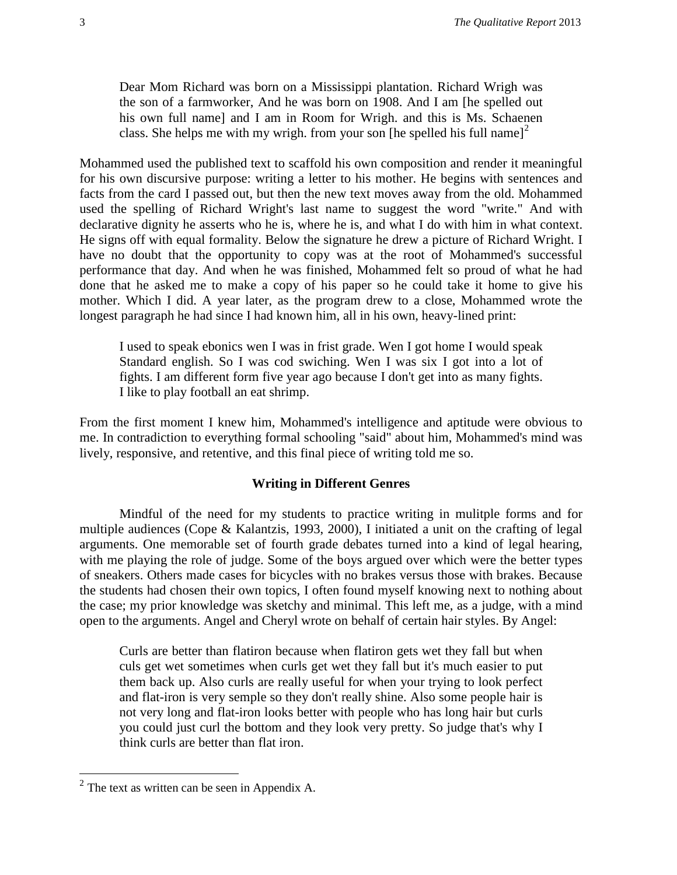Dear Mom Richard was born on a Mississippi plantation. Richard Wrigh was the son of a farmworker, And he was born on 1908. And I am [he spelled out his own full name] and I am in Room for Wrigh. and this is Ms. Schaenen class. She helps me with my wrigh. from your son [he spelled his full name]<sup>[2](#page-2-0)</sup>

Mohammed used the published text to scaffold his own composition and render it meaningful for his own discursive purpose: writing a letter to his mother. He begins with sentences and facts from the card I passed out, but then the new text moves away from the old. Mohammed used the spelling of Richard Wright's last name to suggest the word "write." And with declarative dignity he asserts who he is, where he is, and what I do with him in what context. He signs off with equal formality. Below the signature he drew a picture of Richard Wright. I have no doubt that the opportunity to copy was at the root of Mohammed's successful performance that day. And when he was finished, Mohammed felt so proud of what he had done that he asked me to make a copy of his paper so he could take it home to give his mother. Which I did. A year later, as the program drew to a close, Mohammed wrote the longest paragraph he had since I had known him, all in his own, heavy-lined print:

I used to speak ebonics wen I was in frist grade. Wen I got home I would speak Standard english. So I was cod swiching. Wen I was six I got into a lot of fights. I am different form five year ago because I don't get into as many fights. I like to play football an eat shrimp.

From the first moment I knew him, Mohammed's intelligence and aptitude were obvious to me. In contradiction to everything formal schooling "said" about him, Mohammed's mind was lively, responsive, and retentive, and this final piece of writing told me so.

# **Writing in Different Genres**

Mindful of the need for my students to practice writing in mulitple forms and for multiple audiences (Cope & Kalantzis, 1993, 2000), I initiated a unit on the crafting of legal arguments. One memorable set of fourth grade debates turned into a kind of legal hearing, with me playing the role of judge. Some of the boys argued over which were the better types of sneakers. Others made cases for bicycles with no brakes versus those with brakes. Because the students had chosen their own topics, I often found myself knowing next to nothing about the case; my prior knowledge was sketchy and minimal. This left me, as a judge, with a mind open to the arguments. Angel and Cheryl wrote on behalf of certain hair styles. By Angel:

Curls are better than flatiron because when flatiron gets wet they fall but when culs get wet sometimes when curls get wet they fall but it's much easier to put them back up. Also curls are really useful for when your trying to look perfect and flat-iron is very semple so they don't really shine. Also some people hair is not very long and flat-iron looks better with people who has long hair but curls you could just curl the bottom and they look very pretty. So judge that's why I think curls are better than flat iron.

<span id="page-2-0"></span> $2$  The text as written can be seen in Appendix A.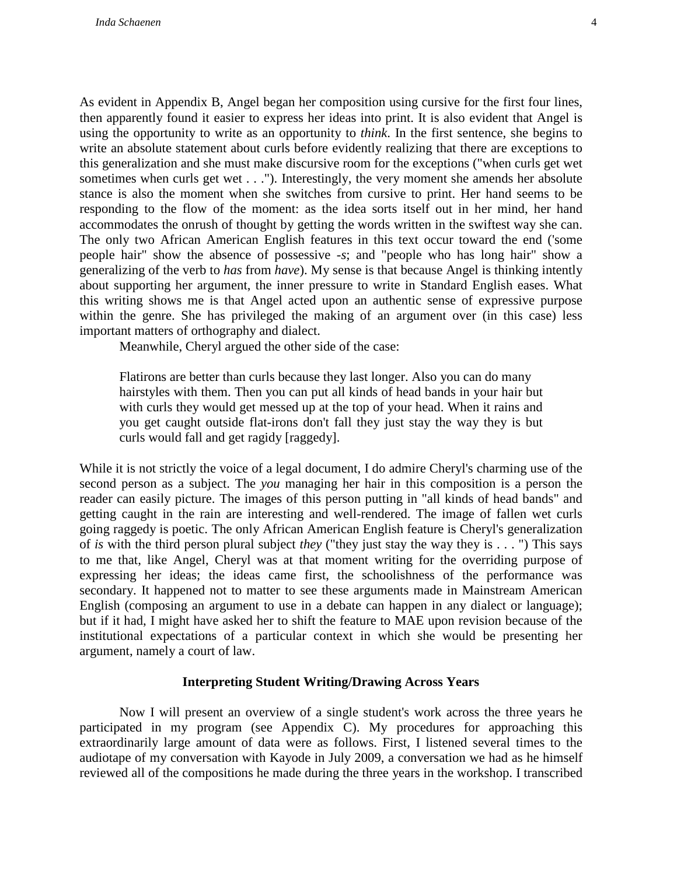As evident in Appendix B, Angel began her composition using cursive for the first four lines, then apparently found it easier to express her ideas into print. It is also evident that Angel is using the opportunity to write as an opportunity to *think*. In the first sentence, she begins to write an absolute statement about curls before evidently realizing that there are exceptions to this generalization and she must make discursive room for the exceptions ("when curls get wet sometimes when curls get wet . . ."). Interestingly, the very moment she amends her absolute stance is also the moment when she switches from cursive to print. Her hand seems to be responding to the flow of the moment: as the idea sorts itself out in her mind, her hand accommodates the onrush of thought by getting the words written in the swiftest way she can. The only two African American English features in this text occur toward the end ('some people hair" show the absence of possessive *-s*; and "people who has long hair" show a generalizing of the verb to *has* from *have*). My sense is that because Angel is thinking intently about supporting her argument, the inner pressure to write in Standard English eases. What this writing shows me is that Angel acted upon an authentic sense of expressive purpose within the genre. She has privileged the making of an argument over (in this case) less important matters of orthography and dialect.

Meanwhile, Cheryl argued the other side of the case:

Flatirons are better than curls because they last longer. Also you can do many hairstyles with them. Then you can put all kinds of head bands in your hair but with curls they would get messed up at the top of your head. When it rains and you get caught outside flat-irons don't fall they just stay the way they is but curls would fall and get ragidy [raggedy].

While it is not strictly the voice of a legal document, I do admire Cheryl's charming use of the second person as a subject. The *you* managing her hair in this composition is a person the reader can easily picture. The images of this person putting in "all kinds of head bands" and getting caught in the rain are interesting and well-rendered. The image of fallen wet curls going raggedy is poetic. The only African American English feature is Cheryl's generalization of *is* with the third person plural subject *they* ("they just stay the way they is . . . ") This says to me that, like Angel, Cheryl was at that moment writing for the overriding purpose of expressing her ideas; the ideas came first, the schoolishness of the performance was secondary. It happened not to matter to see these arguments made in Mainstream American English (composing an argument to use in a debate can happen in any dialect or language); but if it had, I might have asked her to shift the feature to MAE upon revision because of the institutional expectations of a particular context in which she would be presenting her argument, namely a court of law.

#### **Interpreting Student Writing/Drawing Across Years**

Now I will present an overview of a single student's work across the three years he participated in my program (see Appendix C). My procedures for approaching this extraordinarily large amount of data were as follows. First, I listened several times to the audiotape of my conversation with Kayode in July 2009, a conversation we had as he himself reviewed all of the compositions he made during the three years in the workshop. I transcribed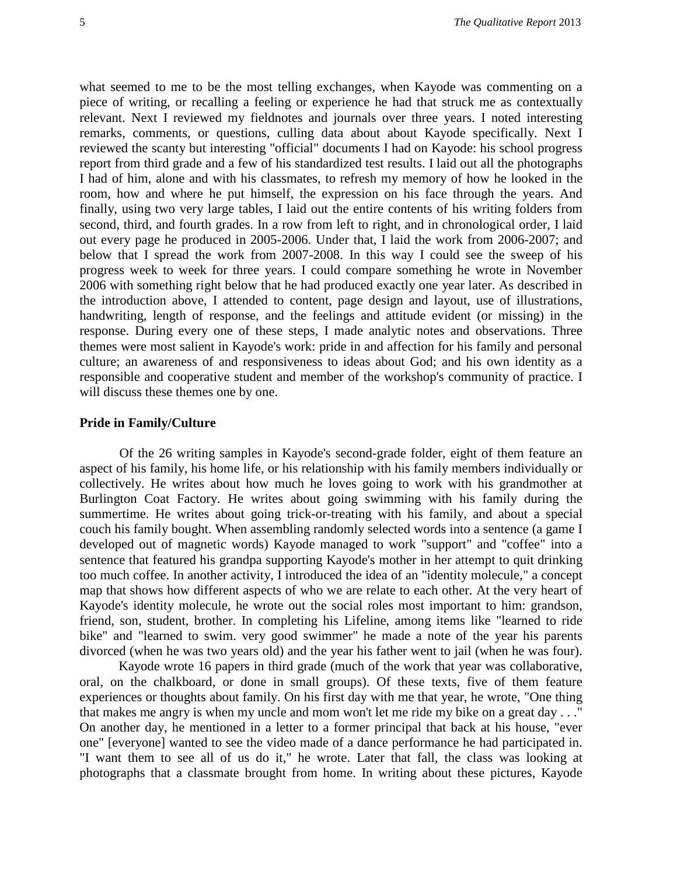what seemed to me to be the most telling exchanges, when Kayode was commenting on a piece of writing, or recalling a feeling or experience he had that struck me as contextually relevant. Next I reviewed my fieldnotes and journals over three years. I noted interesting remarks, comments, or questions, culling data about about Kayode specifically. Next I reviewed the scanty but interesting "official" documents I had on Kayode: his school progress report from third grade and a few of his standardized test results. I laid out all the photographs I had of him, alone and with his classmates, to refresh my memory of how he looked in the room, how and where he put himself, the expression on his face through the years. And finally, using two very large tables, I laid out the entire contents of his writing folders from second, third, and fourth grades. In a row from left to right, and in chronological order, I laid out every page he produced in 2005-2006. Under that, I laid the work from 2006-2007; and below that I spread the work from 2007-2008. In this way I could see the sweep of his progress week to week for three years. I could compare something he wrote in November 2006 with something right below that he had produced exactly one year later. As described in the introduction above, I attended to content, page design and layout, use of illustrations, handwriting, length of response, and the feelings and attitude evident (or missing) in the response. During every one of these steps, I made analytic notes and observations. Three themes were most salient in Kayode's work: pride in and affection for his family and personal culture; an awareness of and responsiveness to ideas about God; and his own identity as a responsible and cooperative student and member of the workshop's community of practice. I will discuss these themes one by one.

#### **Pride in Family/Culture**

Of the 26 writing samples in Kayode's second-grade folder, eight of them feature an aspect of his family, his home life, or his relationship with his family members individually or collectively. He writes about how much he loves going to work with his grandmother at Burlington Coat Factory. He writes about going swimming with his family during the summertime. He writes about going trick-or-treating with his family, and about a special couch his family bought. When assembling randomly selected words into a sentence (a game I developed out of magnetic words) Kayode managed to work "support" and "coffee" into a sentence that featured his grandpa supporting Kayode's mother in her attempt to quit drinking too much coffee. In another activity, I introduced the idea of an "identity molecule," a concept map that shows how different aspects of who we are relate to each other. At the very heart of Kayode's identity molecule, he wrote out the social roles most important to him: grandson, friend, son, student, brother. In completing his Lifeline, among items like "learned to ride bike" and "learned to swim. very good swimmer" he made a note of the year his parents divorced (when he was two years old) and the year his father went to jail (when he was four).

Kayode wrote 16 papers in third grade (much of the work that year was collaborative, oral, on the chalkboard, or done in small groups). Of these texts, five of them feature experiences or thoughts about family. On his first day with me that year, he wrote, "One thing that makes me angry is when my uncle and mom won't let me ride my bike on a great day . . ." On another day, he mentioned in a letter to a former principal that back at his house, "ever one" [everyone] wanted to see the video made of a dance performance he had participated in. "I want them to see all of us do it," he wrote. Later that fall, the class was looking at photographs that a classmate brought from home. In writing about these pictures, Kayode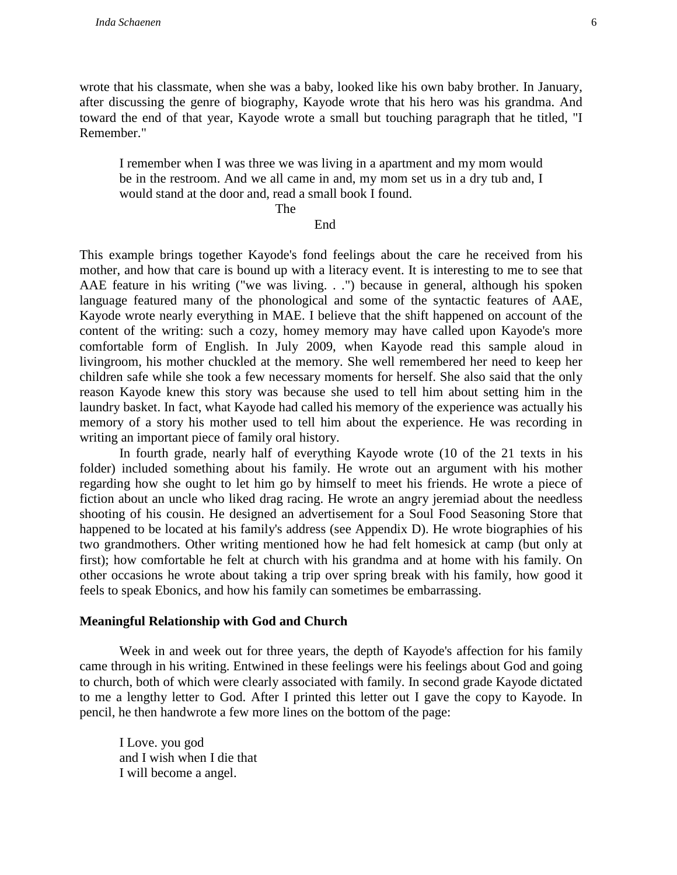wrote that his classmate, when she was a baby, looked like his own baby brother. In January, after discussing the genre of biography, Kayode wrote that his hero was his grandma. And toward the end of that year, Kayode wrote a small but touching paragraph that he titled, "I Remember."

I remember when I was three we was living in a apartment and my mom would be in the restroom. And we all came in and, my mom set us in a dry tub and, I would stand at the door and, read a small book I found.

The

#### End

This example brings together Kayode's fond feelings about the care he received from his mother, and how that care is bound up with a literacy event. It is interesting to me to see that AAE feature in his writing ("we was living. . .") because in general, although his spoken language featured many of the phonological and some of the syntactic features of AAE, Kayode wrote nearly everything in MAE. I believe that the shift happened on account of the content of the writing: such a cozy, homey memory may have called upon Kayode's more comfortable form of English. In July 2009, when Kayode read this sample aloud in livingroom, his mother chuckled at the memory. She well remembered her need to keep her children safe while she took a few necessary moments for herself. She also said that the only reason Kayode knew this story was because she used to tell him about setting him in the laundry basket. In fact, what Kayode had called his memory of the experience was actually his memory of a story his mother used to tell him about the experience. He was recording in writing an important piece of family oral history.

In fourth grade, nearly half of everything Kayode wrote (10 of the 21 texts in his folder) included something about his family. He wrote out an argument with his mother regarding how she ought to let him go by himself to meet his friends. He wrote a piece of fiction about an uncle who liked drag racing. He wrote an angry jeremiad about the needless shooting of his cousin. He designed an advertisement for a Soul Food Seasoning Store that happened to be located at his family's address (see Appendix D). He wrote biographies of his two grandmothers. Other writing mentioned how he had felt homesick at camp (but only at first); how comfortable he felt at church with his grandma and at home with his family. On other occasions he wrote about taking a trip over spring break with his family, how good it feels to speak Ebonics, and how his family can sometimes be embarrassing.

#### **Meaningful Relationship with God and Church**

Week in and week out for three years, the depth of Kayode's affection for his family came through in his writing. Entwined in these feelings were his feelings about God and going to church, both of which were clearly associated with family. In second grade Kayode dictated to me a lengthy letter to God. After I printed this letter out I gave the copy to Kayode. In pencil, he then handwrote a few more lines on the bottom of the page:

I Love. you god and I wish when I die that I will become a angel.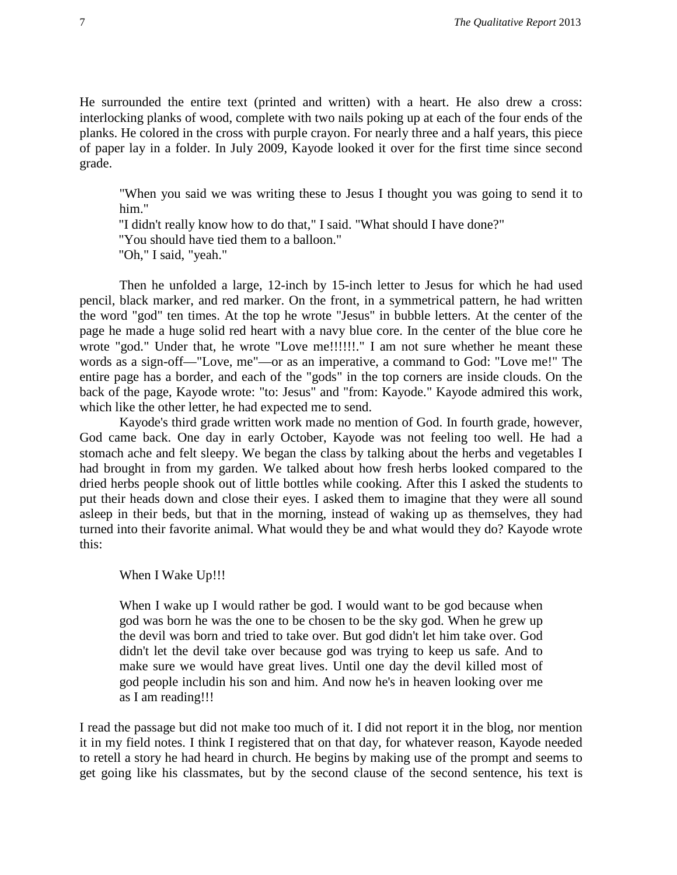He surrounded the entire text (printed and written) with a heart. He also drew a cross: interlocking planks of wood, complete with two nails poking up at each of the four ends of the planks. He colored in the cross with purple crayon. For nearly three and a half years, this piece of paper lay in a folder. In July 2009, Kayode looked it over for the first time since second grade.

"When you said we was writing these to Jesus I thought you was going to send it to him."

"I didn't really know how to do that," I said. "What should I have done?"

"You should have tied them to a balloon."

"Oh," I said, "yeah."

Then he unfolded a large, 12-inch by 15-inch letter to Jesus for which he had used pencil, black marker, and red marker. On the front, in a symmetrical pattern, he had written the word "god" ten times. At the top he wrote "Jesus" in bubble letters. At the center of the page he made a huge solid red heart with a navy blue core. In the center of the blue core he wrote "god." Under that, he wrote "Love me!!!!!!." I am not sure whether he meant these words as a sign-off—"Love, me"—or as an imperative, a command to God: "Love me!" The entire page has a border, and each of the "gods" in the top corners are inside clouds. On the back of the page, Kayode wrote: "to: Jesus" and "from: Kayode." Kayode admired this work, which like the other letter, he had expected me to send.

Kayode's third grade written work made no mention of God. In fourth grade, however, God came back. One day in early October, Kayode was not feeling too well. He had a stomach ache and felt sleepy. We began the class by talking about the herbs and vegetables I had brought in from my garden. We talked about how fresh herbs looked compared to the dried herbs people shook out of little bottles while cooking. After this I asked the students to put their heads down and close their eyes. I asked them to imagine that they were all sound asleep in their beds, but that in the morning, instead of waking up as themselves, they had turned into their favorite animal. What would they be and what would they do? Kayode wrote this:

When I Wake Up!!!

When I wake up I would rather be god. I would want to be god because when god was born he was the one to be chosen to be the sky god. When he grew up the devil was born and tried to take over. But god didn't let him take over. God didn't let the devil take over because god was trying to keep us safe. And to make sure we would have great lives. Until one day the devil killed most of god people includin his son and him. And now he's in heaven looking over me as I am reading!!!

I read the passage but did not make too much of it. I did not report it in the blog, nor mention it in my field notes. I think I registered that on that day, for whatever reason, Kayode needed to retell a story he had heard in church. He begins by making use of the prompt and seems to get going like his classmates, but by the second clause of the second sentence, his text is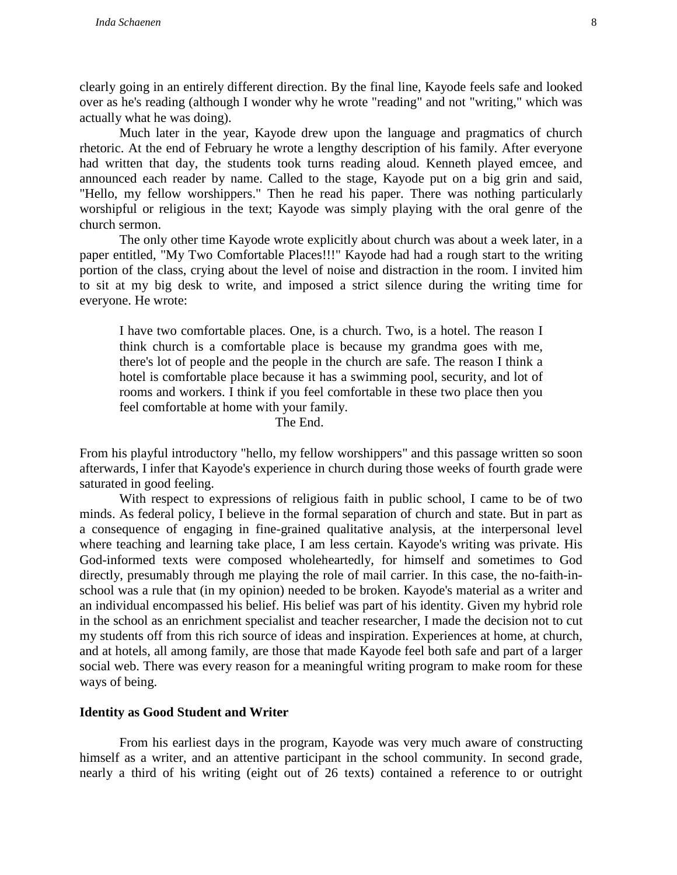clearly going in an entirely different direction. By the final line, Kayode feels safe and looked over as he's reading (although I wonder why he wrote "reading" and not "writing," which was actually what he was doing).

Much later in the year, Kayode drew upon the language and pragmatics of church rhetoric. At the end of February he wrote a lengthy description of his family. After everyone had written that day, the students took turns reading aloud. Kenneth played emcee, and announced each reader by name. Called to the stage, Kayode put on a big grin and said, "Hello, my fellow worshippers." Then he read his paper. There was nothing particularly worshipful or religious in the text; Kayode was simply playing with the oral genre of the church sermon.

The only other time Kayode wrote explicitly about church was about a week later, in a paper entitled, "My Two Comfortable Places!!!" Kayode had had a rough start to the writing portion of the class, crying about the level of noise and distraction in the room. I invited him to sit at my big desk to write, and imposed a strict silence during the writing time for everyone. He wrote:

I have two comfortable places. One, is a church. Two, is a hotel. The reason I think church is a comfortable place is because my grandma goes with me, there's lot of people and the people in the church are safe. The reason I think a hotel is comfortable place because it has a swimming pool, security, and lot of rooms and workers. I think if you feel comfortable in these two place then you feel comfortable at home with your family.

#### The End.

From his playful introductory "hello, my fellow worshippers" and this passage written so soon afterwards, I infer that Kayode's experience in church during those weeks of fourth grade were saturated in good feeling.

With respect to expressions of religious faith in public school, I came to be of two minds. As federal policy, I believe in the formal separation of church and state. But in part as a consequence of engaging in fine-grained qualitative analysis, at the interpersonal level where teaching and learning take place, I am less certain. Kayode's writing was private. His God-informed texts were composed wholeheartedly, for himself and sometimes to God directly, presumably through me playing the role of mail carrier. In this case, the no-faith-inschool was a rule that (in my opinion) needed to be broken. Kayode's material as a writer and an individual encompassed his belief. His belief was part of his identity. Given my hybrid role in the school as an enrichment specialist and teacher researcher, I made the decision not to cut my students off from this rich source of ideas and inspiration. Experiences at home, at church, and at hotels, all among family, are those that made Kayode feel both safe and part of a larger social web. There was every reason for a meaningful writing program to make room for these ways of being.

#### **Identity as Good Student and Writer**

From his earliest days in the program, Kayode was very much aware of constructing himself as a writer, and an attentive participant in the school community. In second grade, nearly a third of his writing (eight out of 26 texts) contained a reference to or outright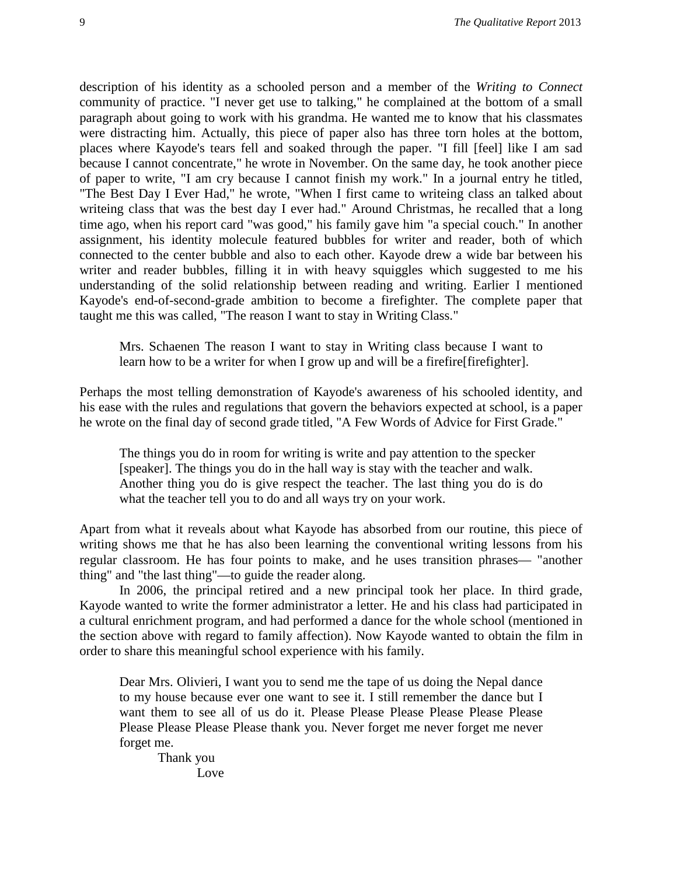description of his identity as a schooled person and a member of the *Writing to Connect*  community of practice. "I never get use to talking," he complained at the bottom of a small paragraph about going to work with his grandma. He wanted me to know that his classmates were distracting him. Actually, this piece of paper also has three torn holes at the bottom, places where Kayode's tears fell and soaked through the paper. "I fill [feel] like I am sad because I cannot concentrate," he wrote in November. On the same day, he took another piece of paper to write, "I am cry because I cannot finish my work." In a journal entry he titled, "The Best Day I Ever Had," he wrote, "When I first came to writeing class an talked about writeing class that was the best day I ever had." Around Christmas, he recalled that a long time ago, when his report card "was good," his family gave him "a special couch." In another assignment, his identity molecule featured bubbles for writer and reader, both of which connected to the center bubble and also to each other. Kayode drew a wide bar between his writer and reader bubbles, filling it in with heavy squiggles which suggested to me his understanding of the solid relationship between reading and writing. Earlier I mentioned Kayode's end-of-second-grade ambition to become a firefighter. The complete paper that taught me this was called, "The reason I want to stay in Writing Class."

Mrs. Schaenen The reason I want to stay in Writing class because I want to learn how to be a writer for when I grow up and will be a firefire[firefighter].

Perhaps the most telling demonstration of Kayode's awareness of his schooled identity, and his ease with the rules and regulations that govern the behaviors expected at school, is a paper he wrote on the final day of second grade titled, "A Few Words of Advice for First Grade."

The things you do in room for writing is write and pay attention to the specker [speaker]. The things you do in the hall way is stay with the teacher and walk. Another thing you do is give respect the teacher. The last thing you do is do what the teacher tell you to do and all ways try on your work.

Apart from what it reveals about what Kayode has absorbed from our routine, this piece of writing shows me that he has also been learning the conventional writing lessons from his regular classroom. He has four points to make, and he uses transition phrases— "another thing" and "the last thing"—to guide the reader along.

In 2006, the principal retired and a new principal took her place. In third grade, Kayode wanted to write the former administrator a letter. He and his class had participated in a cultural enrichment program, and had performed a dance for the whole school (mentioned in the section above with regard to family affection). Now Kayode wanted to obtain the film in order to share this meaningful school experience with his family.

Dear Mrs. Olivieri, I want you to send me the tape of us doing the Nepal dance to my house because ever one want to see it. I still remember the dance but I want them to see all of us do it. Please Please Please Please Please Please Please Please Please Please thank you. Never forget me never forget me never forget me.

Thank you Love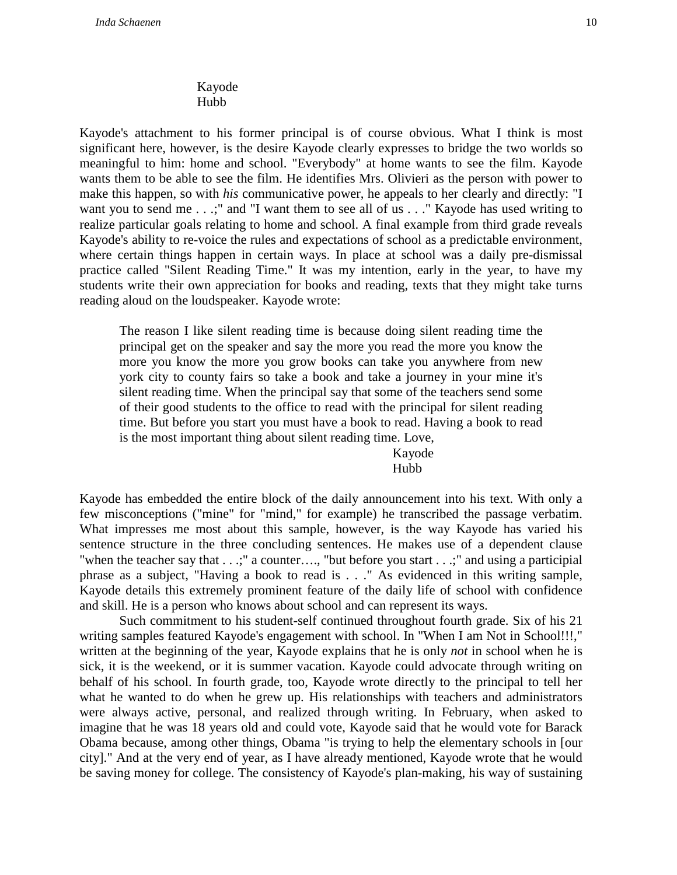# Kayode Hubb

Kayode's attachment to his former principal is of course obvious. What I think is most significant here, however, is the desire Kayode clearly expresses to bridge the two worlds so meaningful to him: home and school. "Everybody" at home wants to see the film. Kayode wants them to be able to see the film. He identifies Mrs. Olivieri as the person with power to make this happen, so with *his* communicative power, he appeals to her clearly and directly: "I want you to send me . . .;" and "I want them to see all of us . . ." Kayode has used writing to realize particular goals relating to home and school. A final example from third grade reveals Kayode's ability to re-voice the rules and expectations of school as a predictable environment, where certain things happen in certain ways. In place at school was a daily pre-dismissal practice called "Silent Reading Time." It was my intention, early in the year, to have my students write their own appreciation for books and reading, texts that they might take turns reading aloud on the loudspeaker. Kayode wrote:

The reason I like silent reading time is because doing silent reading time the principal get on the speaker and say the more you read the more you know the more you know the more you grow books can take you anywhere from new york city to county fairs so take a book and take a journey in your mine it's silent reading time. When the principal say that some of the teachers send some of their good students to the office to read with the principal for silent reading time. But before you start you must have a book to read. Having a book to read is the most important thing about silent reading time. Love,

> Kayode Hubb

Kayode has embedded the entire block of the daily announcement into his text. With only a few misconceptions ("mine" for "mind," for example) he transcribed the passage verbatim. What impresses me most about this sample, however, is the way Kayode has varied his sentence structure in the three concluding sentences. He makes use of a dependent clause "when the teacher say that . . .;" a counter…., "but before you start . . .;" and using a participial phrase as a subject, "Having a book to read is . . ." As evidenced in this writing sample, Kayode details this extremely prominent feature of the daily life of school with confidence and skill. He is a person who knows about school and can represent its ways.

Such commitment to his student-self continued throughout fourth grade. Six of his 21 writing samples featured Kayode's engagement with school. In "When I am Not in School!!!," written at the beginning of the year, Kayode explains that he is only *not* in school when he is sick, it is the weekend, or it is summer vacation. Kayode could advocate through writing on behalf of his school. In fourth grade, too, Kayode wrote directly to the principal to tell her what he wanted to do when he grew up. His relationships with teachers and administrators were always active, personal, and realized through writing. In February, when asked to imagine that he was 18 years old and could vote, Kayode said that he would vote for Barack Obama because, among other things, Obama "is trying to help the elementary schools in [our city]." And at the very end of year, as I have already mentioned, Kayode wrote that he would be saving money for college. The consistency of Kayode's plan-making, his way of sustaining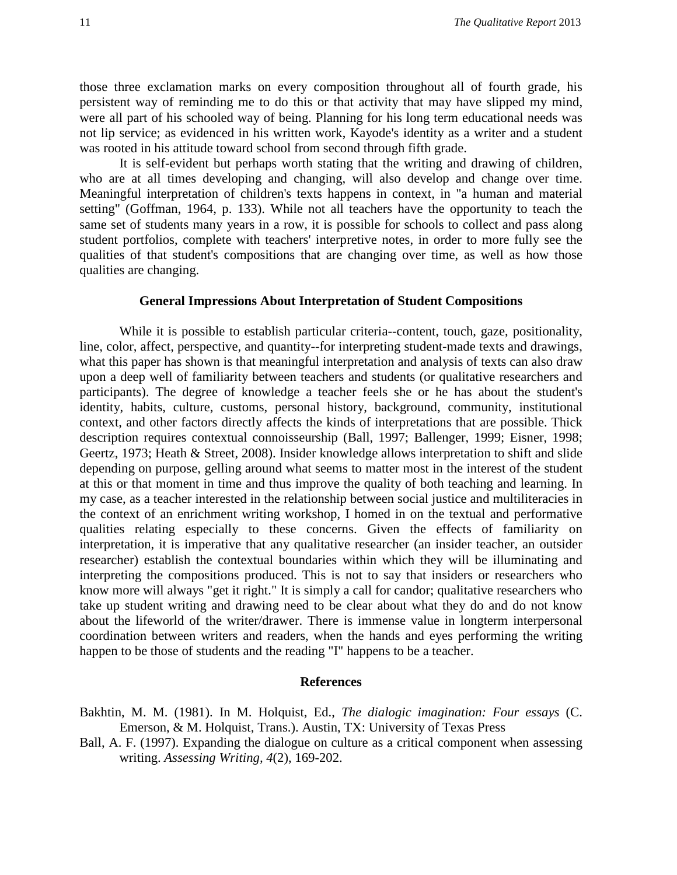those three exclamation marks on every composition throughout all of fourth grade, his persistent way of reminding me to do this or that activity that may have slipped my mind, were all part of his schooled way of being. Planning for his long term educational needs was not lip service; as evidenced in his written work, Kayode's identity as a writer and a student was rooted in his attitude toward school from second through fifth grade.

It is self-evident but perhaps worth stating that the writing and drawing of children, who are at all times developing and changing, will also develop and change over time. Meaningful interpretation of children's texts happens in context, in "a human and material setting" (Goffman, 1964, p. 133). While not all teachers have the opportunity to teach the same set of students many years in a row, it is possible for schools to collect and pass along student portfolios, complete with teachers' interpretive notes, in order to more fully see the qualities of that student's compositions that are changing over time, as well as how those qualities are changing.

### **General Impressions About Interpretation of Student Compositions**

While it is possible to establish particular criteria--content, touch, gaze, positionality, line, color, affect, perspective, and quantity--for interpreting student-made texts and drawings, what this paper has shown is that meaningful interpretation and analysis of texts can also draw upon a deep well of familiarity between teachers and students (or qualitative researchers and participants). The degree of knowledge a teacher feels she or he has about the student's identity, habits, culture, customs, personal history, background, community, institutional context, and other factors directly affects the kinds of interpretations that are possible. Thick description requires contextual connoisseurship (Ball, 1997; Ballenger, 1999; Eisner, 1998; Geertz, 1973; Heath & Street, 2008). Insider knowledge allows interpretation to shift and slide depending on purpose, gelling around what seems to matter most in the interest of the student at this or that moment in time and thus improve the quality of both teaching and learning. In my case, as a teacher interested in the relationship between social justice and multiliteracies in the context of an enrichment writing workshop, I homed in on the textual and performative qualities relating especially to these concerns. Given the effects of familiarity on interpretation, it is imperative that any qualitative researcher (an insider teacher, an outsider researcher) establish the contextual boundaries within which they will be illuminating and interpreting the compositions produced. This is not to say that insiders or researchers who know more will always "get it right." It is simply a call for candor; qualitative researchers who take up student writing and drawing need to be clear about what they do and do not know about the lifeworld of the writer/drawer. There is immense value in longterm interpersonal coordination between writers and readers, when the hands and eyes performing the writing happen to be those of students and the reading "I" happens to be a teacher.

#### **References**

- Bakhtin, M. M. (1981). In M. Holquist, Ed., *The dialogic imagination: Four essays* (C. Emerson, & M. Holquist, Trans.). Austin, TX: University of Texas Press
- Ball, A. F. (1997). Expanding the dialogue on culture as a critical component when assessing writing. *Assessing Writing, 4*(2), 169-202.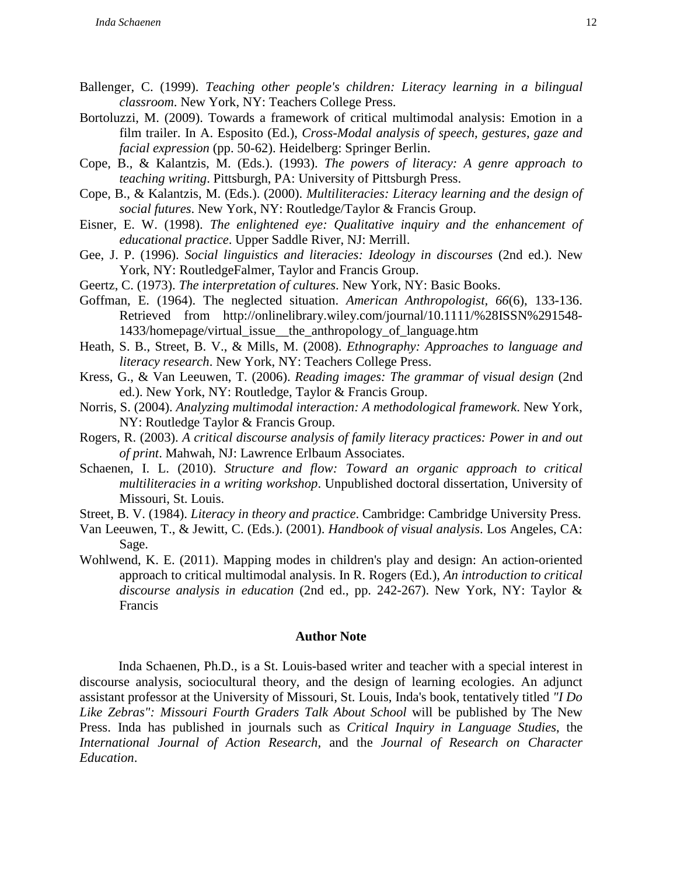- Ballenger, C. (1999). *Teaching other people's children: Literacy learning in a bilingual classroom*. New York, NY: Teachers College Press.
- Bortoluzzi, M. (2009). Towards a framework of critical multimodal analysis: Emotion in a film trailer. In A. Esposito (Ed.), *Cross-Modal analysis of speech, gestures, gaze and facial expression* (pp. 50-62). Heidelberg: Springer Berlin.
- Cope, B., & Kalantzis, M. (Eds.). (1993). *The powers of literacy: A genre approach to teaching writing*. Pittsburgh, PA: University of Pittsburgh Press.
- Cope, B., & Kalantzis, M. (Eds.). (2000). *Multiliteracies: Literacy learning and the design of social futures*. New York, NY: Routledge/Taylor & Francis Group.
- Eisner, E. W. (1998). *The enlightened eye: Qualitative inquiry and the enhancement of educational practice*. Upper Saddle River, NJ: Merrill.
- Gee, J. P. (1996). *Social linguistics and literacies: Ideology in discourses* (2nd ed.). New York, NY: RoutledgeFalmer, Taylor and Francis Group.
- Geertz, C. (1973). *The interpretation of cultures*. New York, NY: Basic Books.
- Goffman, E. (1964). The neglected situation. *American Anthropologist, 66*(6), 133-136. Retrieved from http://onlinelibrary.wiley.com/journal/10.1111/%28ISSN%291548- 1433/homepage/virtual\_issue\_\_the\_anthropology\_of\_language.htm
- Heath, S. B., Street, B. V., & Mills, M. (2008). *Ethnography: Approaches to language and literacy research*. New York, NY: Teachers College Press.
- Kress, G., & Van Leeuwen, T. (2006). *Reading images: The grammar of visual design* (2nd ed.). New York, NY: Routledge, Taylor & Francis Group.
- Norris, S. (2004). *Analyzing multimodal interaction: A methodological framework*. New York, NY: Routledge Taylor & Francis Group.
- Rogers, R. (2003). *A critical discourse analysis of family literacy practices: Power in and out of print*. Mahwah, NJ: Lawrence Erlbaum Associates.
- Schaenen, I. L. (2010). *Structure and flow: Toward an organic approach to critical multiliteracies in a writing workshop*. Unpublished doctoral dissertation, University of Missouri, St. Louis.

Street, B. V. (1984). *Literacy in theory and practice*. Cambridge: Cambridge University Press.

- Van Leeuwen, T., & Jewitt, C. (Eds.). (2001). *Handbook of visual analysis*. Los Angeles, CA: Sage.
- Wohlwend, K. E. (2011). Mapping modes in children's play and design: An action-oriented approach to critical multimodal analysis. In R. Rogers (Ed.), *An introduction to critical discourse analysis in education* (2nd ed., pp. 242-267). New York, NY: Taylor & Francis

#### **Author Note**

Inda Schaenen, Ph.D., is a St. Louis-based writer and teacher with a special interest in discourse analysis, sociocultural theory, and the design of learning ecologies. An adjunct assistant professor at the University of Missouri, St. Louis, Inda's book, tentatively titled *"I Do Like Zebras": Missouri Fourth Graders Talk About School* will be published by The New Press. Inda has published in journals such as *Critical Inquiry in Language Studies*, the *International Journal of Action Research*, and the *Journal of Research on Character Education*.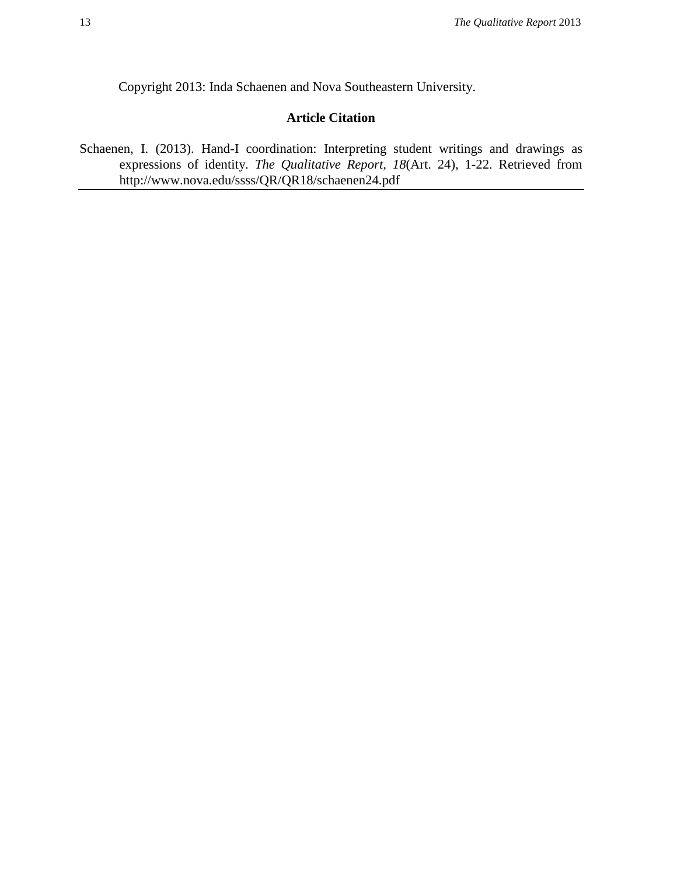# **Article Citation**

Schaenen, I. (2013). Hand-I coordination: Interpreting student writings and drawings as expressions of identity. *The Qualitative Report, 18*(Art. 24), 1-22. Retrieved from http://www.nova.edu/ssss/QR/QR18/schaenen24.pdf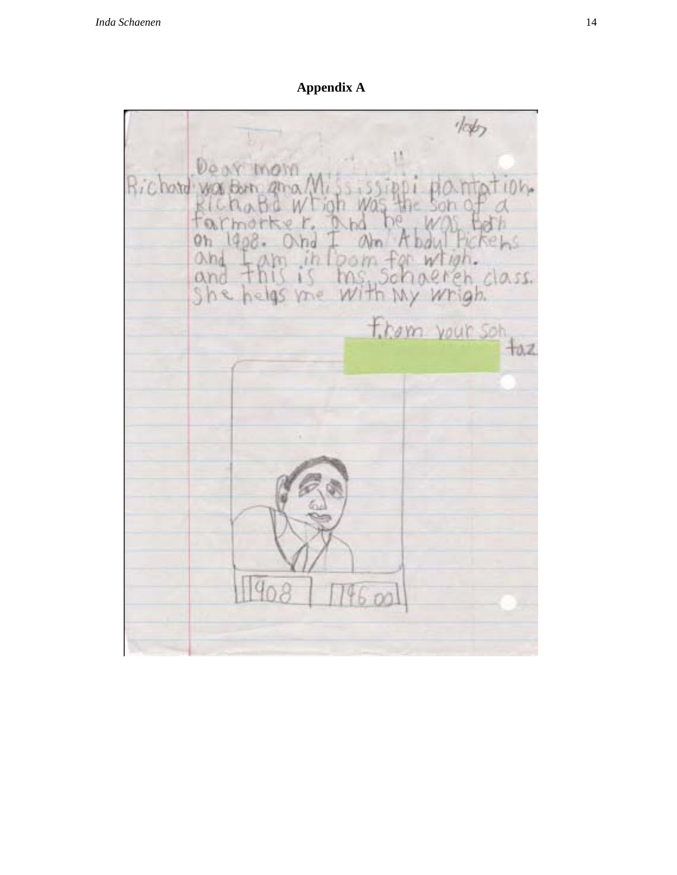Appendix A

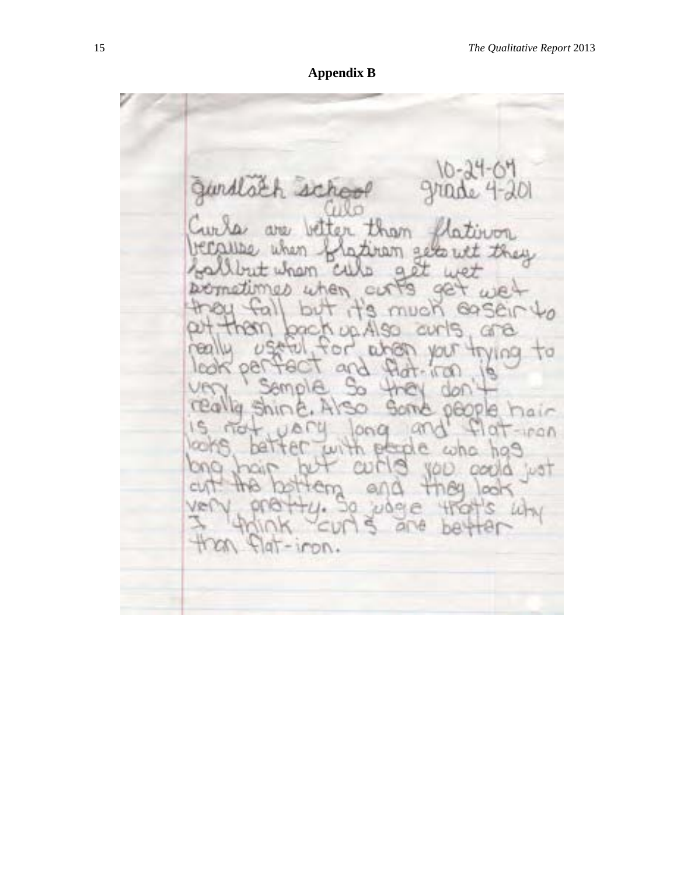**Appendix B**

gurdlach sich λOΙ tham .<br>UUDIL Witon s ta addo. 181 D. 92 CLK q, Θv ۹ 10 Petit ņО. pel CП th. Ū 1di tair v ۳ ona TIC  $1000$ O.B **COD** Đ. ua i Qı 19 irpn. ō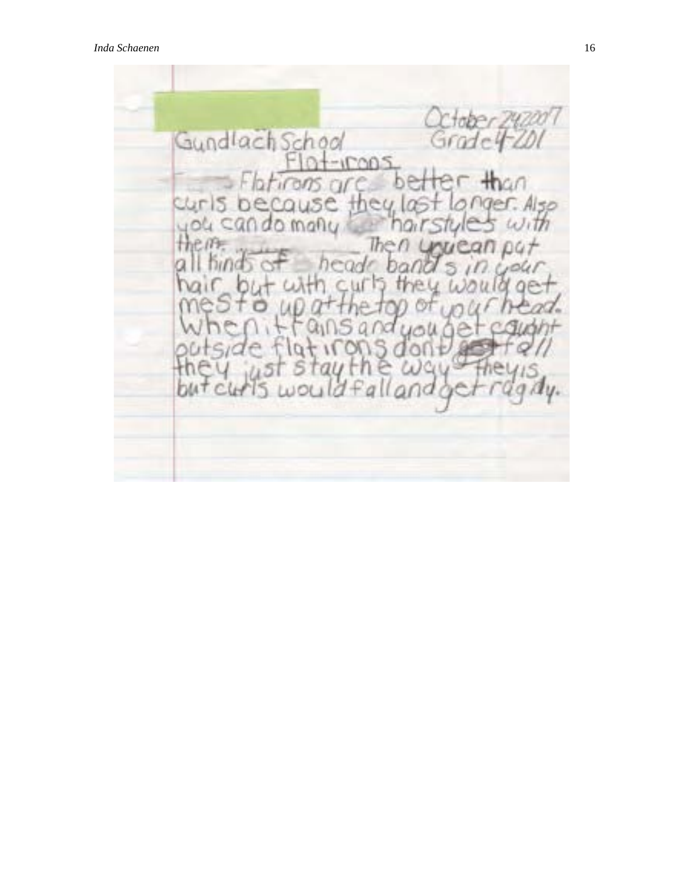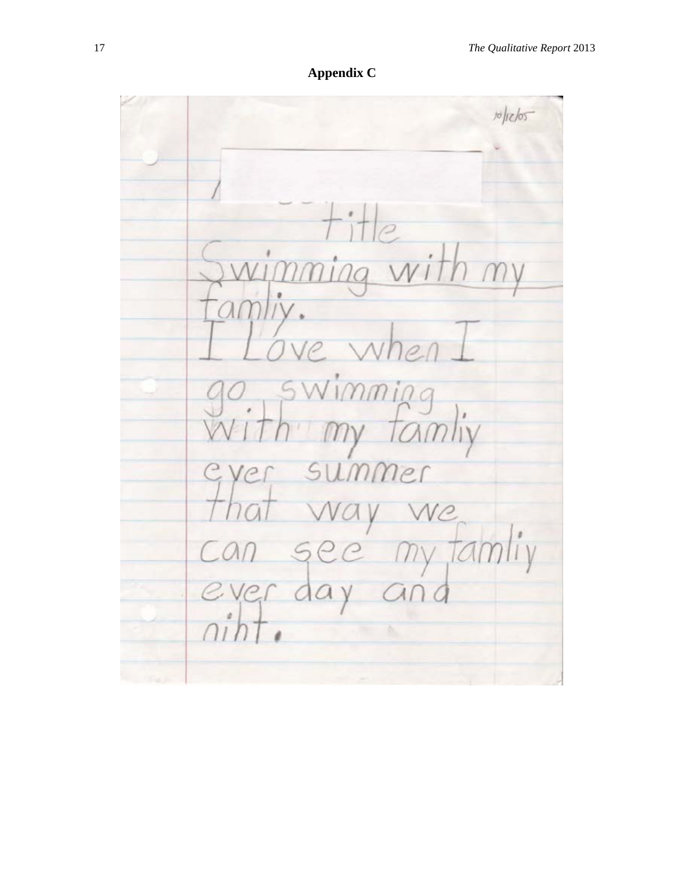**Appendix C**

 $10/105$ wimn amliy.  $\overline{\rho}$  $700$ swimming mmer 5 VC  $\int y$ my far  $CA$ 5 ever da  $\vee$  $C_{1}$ ò.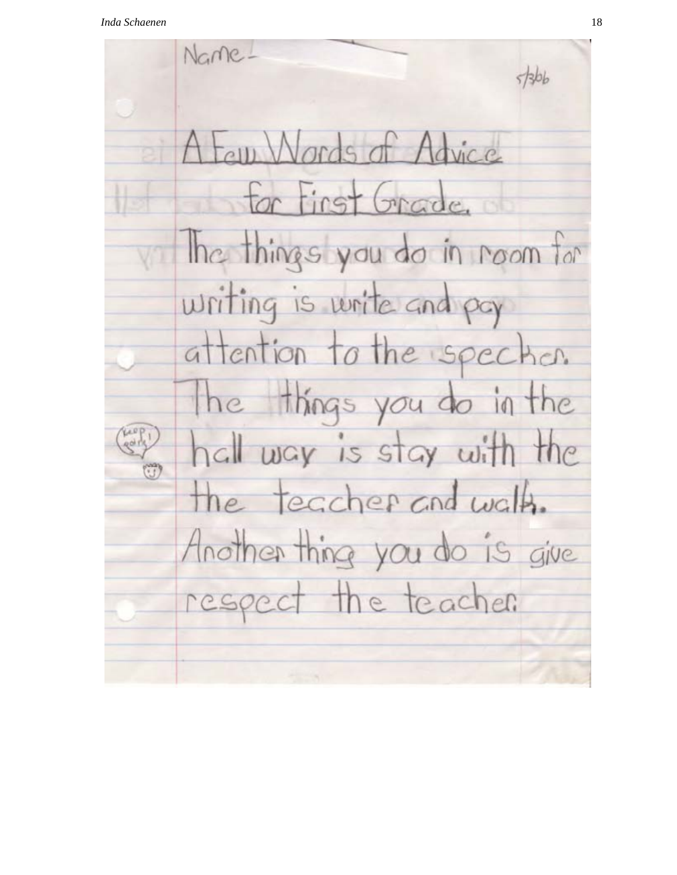Name- $5566$ A Few Words of Advice for first Grade. Ince things you do in room for writing is write and pay attention to the specker. the things you do in the hall way is stay with the the teacher and walk. Another thing you do is give the teacher respect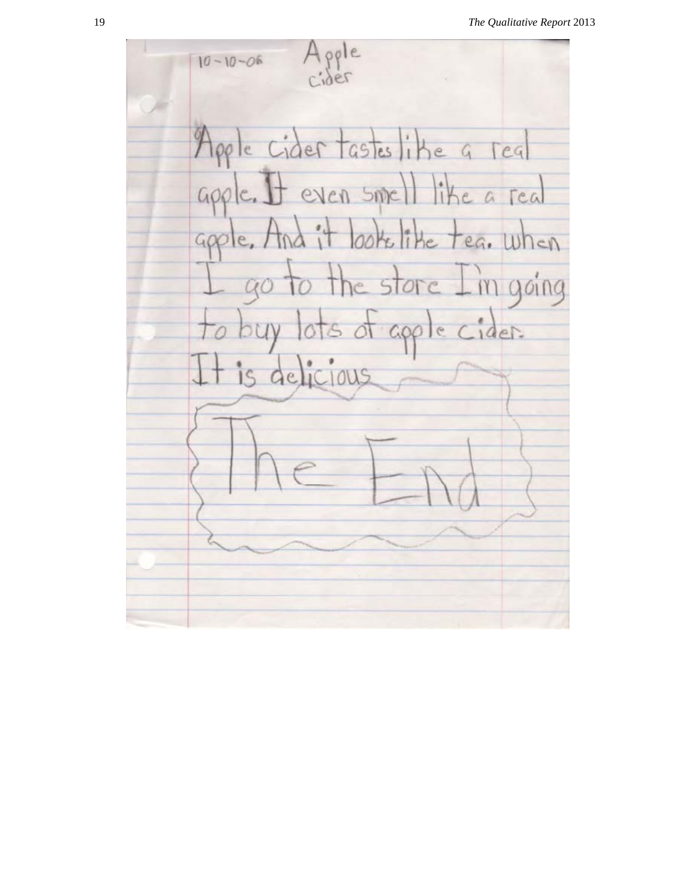oole  $10 - 10 - 06$ Apple cider tasteslike a real apple. It even smell like a real d it looks like tea. when  $900$ to the store I'm going  $0^\circ$ ly lots of apple cider. t is delicious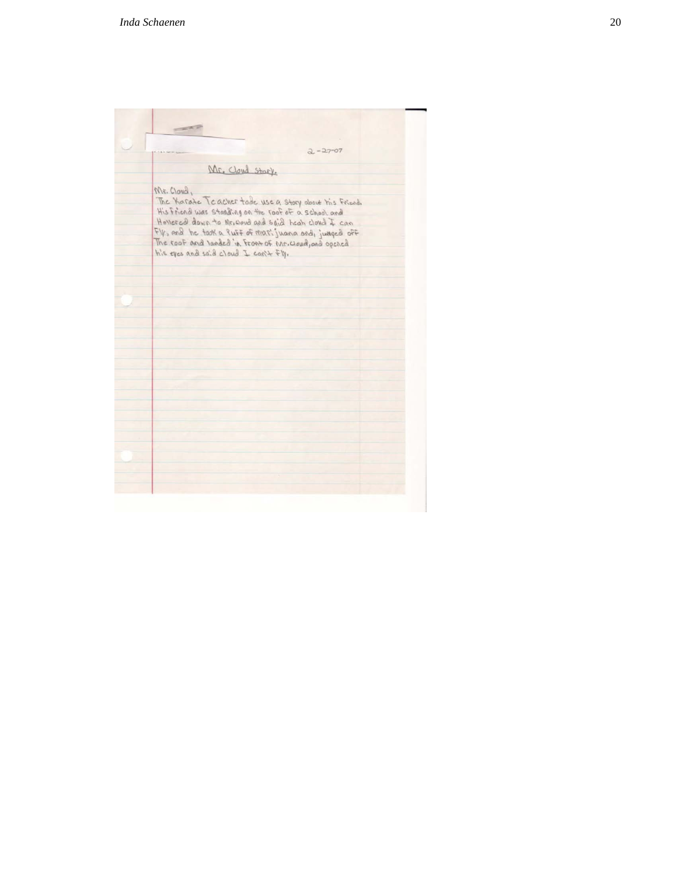| <b>COLLEGE OF</b>                                                                                                                                                                                                                                                                                                                             |
|-----------------------------------------------------------------------------------------------------------------------------------------------------------------------------------------------------------------------------------------------------------------------------------------------------------------------------------------------|
| $2 - 27 - 07$                                                                                                                                                                                                                                                                                                                                 |
| Mr. Cloud Stary.                                                                                                                                                                                                                                                                                                                              |
| Mr. Cloud,<br>The Karate Teacher tode use a story about his Friend.<br>His Friend was standing on the roof of a school and<br>Honorcal down to Mr. would and said heat cloud I can<br>Fly, and he task a luff of marijuana and, jumped off<br>The roof and landed in Front of Mr. Cloud, and opened<br>his eyes and said cloud I can't $F$ !! |
|                                                                                                                                                                                                                                                                                                                                               |
|                                                                                                                                                                                                                                                                                                                                               |
|                                                                                                                                                                                                                                                                                                                                               |
|                                                                                                                                                                                                                                                                                                                                               |
|                                                                                                                                                                                                                                                                                                                                               |
|                                                                                                                                                                                                                                                                                                                                               |
|                                                                                                                                                                                                                                                                                                                                               |
|                                                                                                                                                                                                                                                                                                                                               |
|                                                                                                                                                                                                                                                                                                                                               |
|                                                                                                                                                                                                                                                                                                                                               |
|                                                                                                                                                                                                                                                                                                                                               |
|                                                                                                                                                                                                                                                                                                                                               |
|                                                                                                                                                                                                                                                                                                                                               |
|                                                                                                                                                                                                                                                                                                                                               |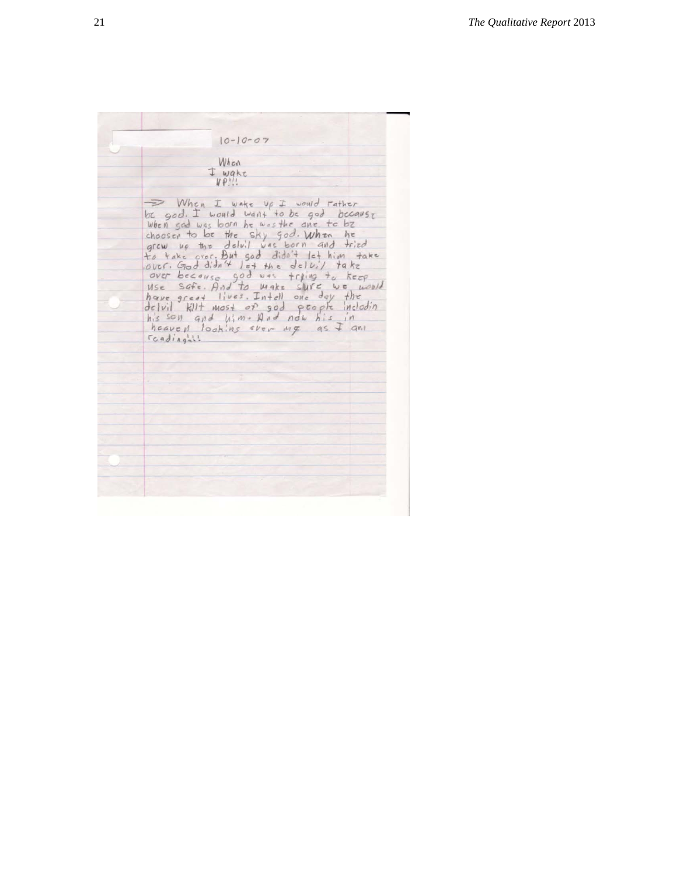$10 - 10 - 07$ When I wake When I wake up I would rather<br>be god. I would want to be god becouse<br>when sed was born he westhe ane to be<br>choosen to be the sky god. When he<br>grew up the deluil was born and tried<br>to take over. But god didn't let him take<br>